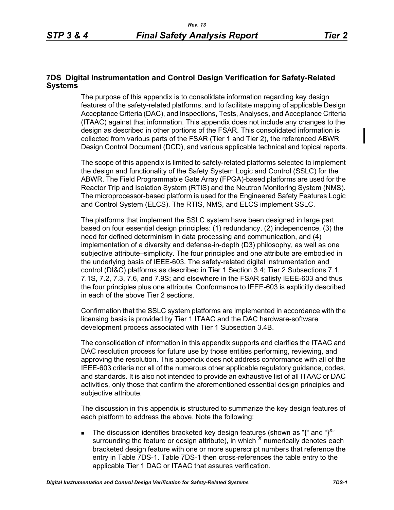## **7DS Digital Instrumentation and Control Design Verification for Safety-Related Systems**

The purpose of this appendix is to consolidate information regarding key design features of the safety-related platforms, and to facilitate mapping of applicable Design Acceptance Criteria (DAC), and Inspections, Tests, Analyses, and Acceptance Criteria (ITAAC) against that information. This appendix does not include any changes to the design as described in other portions of the FSAR. This consolidated information is collected from various parts of the FSAR (Tier 1 and Tier 2), the referenced ABWR Design Control Document (DCD), and various applicable technical and topical reports.

The scope of this appendix is limited to safety-related platforms selected to implement the design and functionality of the Safety System Logic and Control (SSLC) for the ABWR. The Field Programmable Gate Array (FPGA)-based platforms are used for the Reactor Trip and Isolation System (RTIS) and the Neutron Monitoring System (NMS). The microprocessor-based platform is used for the Engineered Safety Features Logic and Control System (ELCS). The RTIS, NMS, and ELCS implement SSLC.

The platforms that implement the SSLC system have been designed in large part based on four essential design principles: (1) redundancy, (2) independence, (3) the need for defined determinism in data processing and communication, and (4) implementation of a diversity and defense-in-depth (D3) philosophy, as well as one subjective attribute–simplicity. The four principles and one attribute are embodied in the underlying basis of IEEE-603. The safety-related digital instrumentation and control (DI&C) platforms as described in Tier 1 Section 3.4; Tier 2 Subsections 7.1, 7.1S, 7.2, 7.3, 7.6, and 7.9S; and elsewhere in the FSAR satisfy IEEE-603 and thus the four principles plus one attribute. Conformance to IEEE-603 is explicitly described in each of the above Tier 2 sections.

Confirmation that the SSLC system platforms are implemented in accordance with the licensing basis is provided by Tier 1 ITAAC and the DAC hardware-software development process associated with Tier 1 Subsection 3.4B.

The consolidation of information in this appendix supports and clarifies the ITAAC and DAC resolution process for future use by those entities performing, reviewing, and approving the resolution. This appendix does not address conformance with all of the IEEE-603 criteria nor all of the numerous other applicable regulatory guidance, codes, and standards. It is also not intended to provide an exhaustive list of all ITAAC or DAC activities, only those that confirm the aforementioned essential design principles and subjective attribute.

The discussion in this appendix is structured to summarize the key design features of each platform to address the above. Note the following:

The discussion identifies bracketed key design features (shown as "{" and "}<sup>x"</sup> surrounding the feature or design attribute), in which  $^{\lambda}$  numerically denotes each bracketed design feature with one or more superscript numbers that reference the entry in Table 7DS-1. Table 7DS-1 then cross-references the table entry to the applicable Tier 1 DAC or ITAAC that assures verification.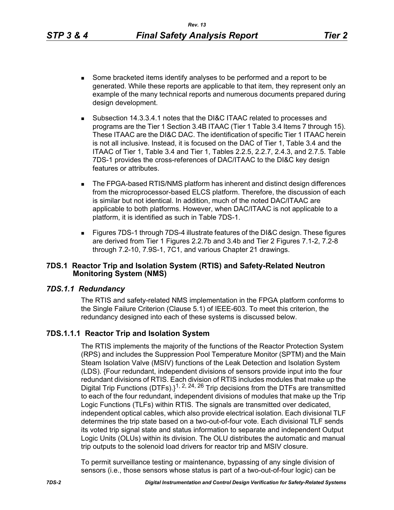- Some bracketed items identify analyses to be performed and a report to be generated. While these reports are applicable to that item, they represent only an example of the many technical reports and numerous documents prepared during design development.
- Subsection 14.3.3.4.1 notes that the DI&C ITAAC related to processes and programs are the Tier 1 Section 3.4B ITAAC (Tier 1 Table 3.4 Items 7 through 15). These ITAAC are the DI&C DAC. The identification of specific Tier 1 ITAAC herein is not all inclusive. Instead, it is focused on the DAC of Tier 1, Table 3.4 and the ITAAC of Tier 1, Table 3.4 and Tier 1, Tables 2.2.5, 2.2.7, 2.4.3, and 2.7.5. Table 7DS-1 provides the cross-references of DAC/ITAAC to the DI&C key design features or attributes.
- **The FPGA-based RTIS/NMS platform has inherent and distinct design differences** from the microprocessor-based ELCS platform. Therefore, the discussion of each is similar but not identical. In addition, much of the noted DAC/ITAAC are applicable to both platforms. However, when DAC/ITAAC is not applicable to a platform, it is identified as such in Table 7DS-1.
- Figures 7DS-1 through 7DS-4 illustrate features of the DI&C design. These figures are derived from Tier 1 Figures 2.2.7b and 3.4b and Tier 2 Figures 7.1-2, 7.2-8 through 7.2-10, 7.9S-1, 7C1, and various Chapter 21 drawings.

### **7DS.1 Reactor Trip and Isolation System (RTIS) and Safety-Related Neutron Monitoring System (NMS)**

# *7DS.1.1 Redundancy*

The RTIS and safety-related NMS implementation in the FPGA platform conforms to the Single Failure Criterion (Clause 5.1) of IEEE-603. To meet this criterion, the redundancy designed into each of these systems is discussed below.

# **7DS.1.1.1 Reactor Trip and Isolation System**

The RTIS implements the majority of the functions of the Reactor Protection System (RPS) and includes the Suppression Pool Temperature Monitor (SPTM) and the Main Steam Isolation Valve (MSIV) functions of the Leak Detection and Isolation System (LDS). {Four redundant, independent divisions of sensors provide input into the four redundant divisions of RTIS. Each division of RTIS includes modules that make up the Digital Trip Functions (DTFs). $\frac{1}{2}$ ,  $\frac{24}{26}$  Trip decisions from the DTFs are transmitted to each of the four redundant, independent divisions of modules that make up the Trip Logic Functions (TLFs) within RTIS. The signals are transmitted over dedicated, independent optical cables, which also provide electrical isolation. Each divisional TLF determines the trip state based on a two-out-of-four vote. Each divisional TLF sends its voted trip signal state and status information to separate and independent Output Logic Units (OLUs) within its division. The OLU distributes the automatic and manual trip outputs to the solenoid load drivers for reactor trip and MSIV closure.

To permit surveillance testing or maintenance, bypassing of any single division of sensors (i.e., those sensors whose status is part of a two-out-of-four logic) can be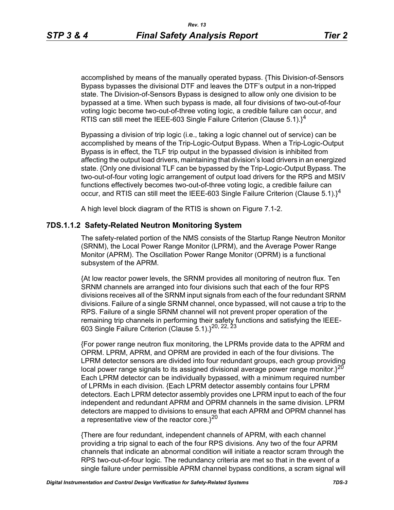accomplished by means of the manually operated bypass. {This Division-of-Sensors Bypass bypasses the divisional DTF and leaves the DTF's output in a non-tripped state. The Division-of-Sensors Bypass is designed to allow only one division to be bypassed at a time. When such bypass is made, all four divisions of two-out-of-four voting logic become two-out-of-three voting logic, a credible failure can occur, and RTIS can still meet the IEEE-603 Single Failure Criterion (Clause 5.1). $\}^4$ 

Bypassing a division of trip logic (i.e., taking a logic channel out of service) can be accomplished by means of the Trip-Logic-Output Bypass. When a Trip-Logic-Output Bypass is in effect, the TLF trip output in the bypassed division is inhibited from affecting the output load drivers, maintaining that division's load drivers in an energized state. {Only one divisional TLF can be bypassed by the Trip-Logic-Output Bypass. The two-out-of-four voting logic arrangement of output load drivers for the RPS and MSIV functions effectively becomes two-out-of-three voting logic, a credible failure can occur, and RTIS can still meet the IEEE-603 Single Failure Criterion (Clause 5.1). $\}^4$ 

A high level block diagram of the RTIS is shown on Figure 7.1-2.

#### **7DS.1.1.2 Safety-Related Neutron Monitoring System**

The safety-related portion of the NMS consists of the Startup Range Neutron Monitor (SRNM), the Local Power Range Monitor (LPRM), and the Average Power Range Monitor (APRM). The Oscillation Power Range Monitor (OPRM) is a functional subsystem of the APRM.

{At low reactor power levels, the SRNM provides all monitoring of neutron flux. Ten SRNM channels are arranged into four divisions such that each of the four RPS divisions receives all of the SRNM input signals from each of the four redundant SRNM divisions. Failure of a single SRNM channel, once bypassed, will not cause a trip to the RPS. Failure of a single SRNM channel will not prevent proper operation of the remaining trip channels in performing their safety functions and satisfying the IEEE-603 Single Failure Criterion (Clause 5.1).}20, 22, 23

{For power range neutron flux monitoring, the LPRMs provide data to the APRM and OPRM. LPRM, APRM, and OPRM are provided in each of the four divisions. The LPRM detector sensors are divided into four redundant groups, each group providing local power range signals to its assigned divisional average power range monitor. $3^{20}$ Each LPRM detector can be individually bypassed, with a minimum required number of LPRMs in each division. {Each LPRM detector assembly contains four LPRM detectors. Each LPRM detector assembly provides one LPRM input to each of the four independent and redundant APRM and OPRM channels in the same division. LPRM detectors are mapped to divisions to ensure that each APRM and OPRM channel has a representative view of the reactor core. $3^{20}$ 

{There are four redundant, independent channels of APRM, with each channel providing a trip signal to each of the four RPS divisions. Any two of the four APRM channels that indicate an abnormal condition will initiate a reactor scram through the RPS two-out-of-four logic. The redundancy criteria are met so that in the event of a single failure under permissible APRM channel bypass conditions, a scram signal will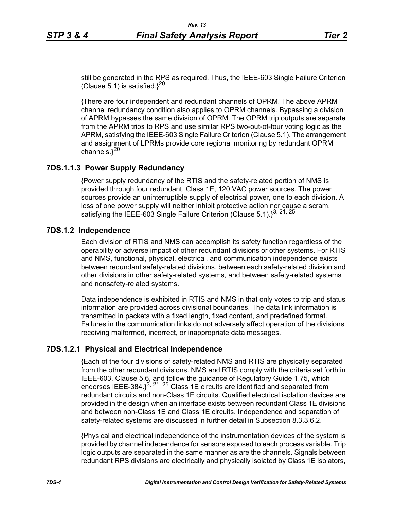still be generated in the RPS as required. Thus, the IEEE-603 Single Failure Criterion (Clause 5.1) is satisfied. $3^{20}$ 

{There are four independent and redundant channels of OPRM. The above APRM channel redundancy condition also applies to OPRM channels. Bypassing a division of APRM bypasses the same division of OPRM. The OPRM trip outputs are separate from the APRM trips to RPS and use similar RPS two-out-of-four voting logic as the APRM, satisfying the IEEE-603 Single Failure Criterion (Clause 5.1). The arrangement and assignment of LPRMs provide core regional monitoring by redundant OPRM channels.<sup>}20</sup>

## **7DS.1.1.3 Power Supply Redundancy**

{Power supply redundancy of the RTIS and the safety-related portion of NMS is provided through four redundant, Class 1E, 120 VAC power sources. The power sources provide an uninterruptible supply of electrical power, one to each division. A loss of one power supply will neither inhibit protective action nor cause a scram, satisfying the IEEE-603 Single Failure Criterion (Clause  $5.1$ ).<sup>13, 21, 25</sup>

## **7DS.1.2 Independence**

Each division of RTIS and NMS can accomplish its safety function regardless of the operability or adverse impact of other redundant divisions or other systems. For RTIS and NMS, functional, physical, electrical, and communication independence exists between redundant safety-related divisions, between each safety-related division and other divisions in other safety-related systems, and between safety-related systems and nonsafety-related systems.

Data independence is exhibited in RTIS and NMS in that only votes to trip and status information are provided across divisional boundaries. The data link information is transmitted in packets with a fixed length, fixed content, and predefined format. Failures in the communication links do not adversely affect operation of the divisions receiving malformed, incorrect, or inappropriate data messages.

# **7DS.1.2.1 Physical and Electrical Independence**

{Each of the four divisions of safety-related NMS and RTIS are physically separated from the other redundant divisions. NMS and RTIS comply with the criteria set forth in IEEE-603, Clause 5.6, and follow the guidance of Regulatory Guide 1.75, which endorses IEEE-384. $3^{3, 21, 25}$  Class 1E circuits are identified and separated from redundant circuits and non-Class 1E circuits. Qualified electrical isolation devices are provided in the design when an interface exists between redundant Class 1E divisions and between non-Class 1E and Class 1E circuits. Independence and separation of safety-related systems are discussed in further detail in Subsection 8.3.3.6.2.

{Physical and electrical independence of the instrumentation devices of the system is provided by channel independence for sensors exposed to each process variable. Trip logic outputs are separated in the same manner as are the channels. Signals between redundant RPS divisions are electrically and physically isolated by Class 1E isolators,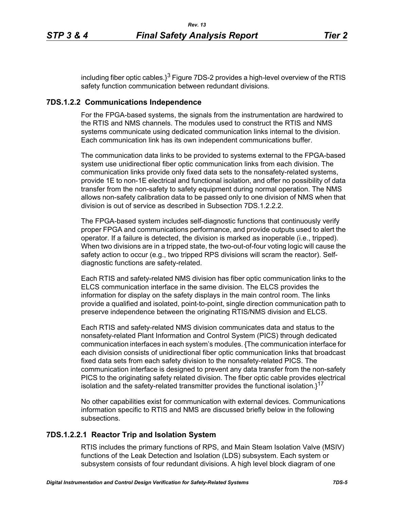including fiber optic cables. $3^3$  Figure 7DS-2 provides a high-level overview of the RTIS safety function communication between redundant divisions.

## **7DS.1.2.2 Communications Independence**

For the FPGA-based systems, the signals from the instrumentation are hardwired to the RTIS and NMS channels. The modules used to construct the RTIS and NMS systems communicate using dedicated communication links internal to the division. Each communication link has its own independent communications buffer.

The communication data links to be provided to systems external to the FPGA-based system use unidirectional fiber optic communication links from each division. The communication links provide only fixed data sets to the nonsafety-related systems, provide 1E to non-1E electrical and functional isolation, and offer no possibility of data transfer from the non-safety to safety equipment during normal operation. The NMS allows non-safety calibration data to be passed only to one division of NMS when that division is out of service as described in Subsection 7DS.1.2.2.2.

The FPGA-based system includes self-diagnostic functions that continuously verify proper FPGA and communications performance, and provide outputs used to alert the operator. If a failure is detected, the division is marked as inoperable (i.e., tripped). When two divisions are in a tripped state, the two-out-of-four voting logic will cause the safety action to occur (e.g., two tripped RPS divisions will scram the reactor). Selfdiagnostic functions are safety-related.

Each RTIS and safety-related NMS division has fiber optic communication links to the ELCS communication interface in the same division. The ELCS provides the information for display on the safety displays in the main control room. The links provide a qualified and isolated, point-to-point, single direction communication path to preserve independence between the originating RTIS/NMS division and ELCS.

Each RTIS and safety-related NMS division communicates data and status to the nonsafety-related Plant Information and Control System (PICS) through dedicated communication interfaces in each system's modules. {The communication interface for each division consists of unidirectional fiber optic communication links that broadcast fixed data sets from each safety division to the nonsafety-related PICS. The communication interface is designed to prevent any data transfer from the non-safety PICS to the originating safety related division. The fiber optic cable provides electrical isolation and the safety-related transmitter provides the functional isolation. $1^{17}$ 

No other capabilities exist for communication with external devices. Communications information specific to RTIS and NMS are discussed briefly below in the following subsections.

# **7DS.1.2.2.1 Reactor Trip and Isolation System**

RTIS includes the primary functions of RPS, and Main Steam Isolation Valve (MSIV) functions of the Leak Detection and Isolation (LDS) subsystem. Each system or subsystem consists of four redundant divisions. A high level block diagram of one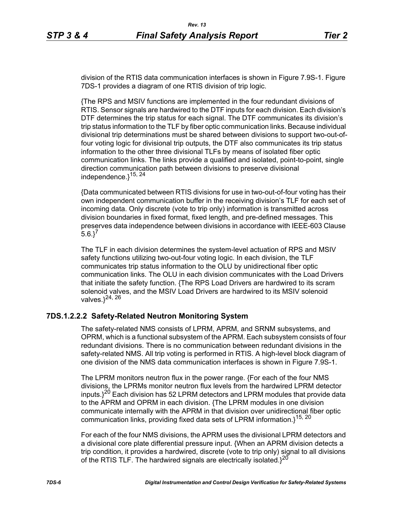division of the RTIS data communication interfaces is shown in Figure 7.9S-1. Figure 7DS-1 provides a diagram of one RTIS division of trip logic.

{The RPS and MSIV functions are implemented in the four redundant divisions of RTIS. Sensor signals are hardwired to the DTF inputs for each division. Each division's DTF determines the trip status for each signal. The DTF communicates its division's trip status information to the TLF by fiber optic communication links. Because individual divisional trip determinations must be shared between divisions to support two-out-offour voting logic for divisional trip outputs, the DTF also communicates its trip status information to the other three divisional TLFs by means of isolated fiber optic communication links. The links provide a qualified and isolated, point-to-point, single direction communication path between divisions to preserve divisional independence.}<sup>15, 24</sup>

{Data communicated between RTIS divisions for use in two-out-of-four voting has their own independent communication buffer in the receiving division's TLF for each set of incoming data. Only discrete (vote to trip only) information is transmitted across division boundaries in fixed format, fixed length, and pre-defined messages. This preserves data independence between divisions in accordance with IEEE-603 Clause  $5.6.$ <sup>7</sup>

The TLF in each division determines the system-level actuation of RPS and MSIV safety functions utilizing two-out-four voting logic. In each division, the TLF communicates trip status information to the OLU by unidirectional fiber optic communication links. The OLU in each division communicates with the Load Drivers that initiate the safety function. {The RPS Load Drivers are hardwired to its scram solenoid valves, and the MSIV Load Drivers are hardwired to its MSIV solenoid valves. $3^{24, 26}$ 

# **7DS.1.2.2.2 Safety-Related Neutron Monitoring System**

The safety-related NMS consists of LPRM, APRM, and SRNM subsystems, and OPRM, which is a functional subsystem of the APRM. Each subsystem consists of four redundant divisions. There is no communication between redundant divisions in the safety-related NMS. All trip voting is performed in RTIS. A high-level block diagram of one division of the NMS data communication interfaces is shown in Figure 7.9S-1.

The LPRM monitors neutron flux in the power range. {For each of the four NMS divisions, the LPRMs monitor neutron flux levels from the hardwired LPRM detector inputs. $1^{20}$  Each division has 52 LPRM detectors and LPRM modules that provide data to the APRM and OPRM in each division. {The LPRM modules in one division communicate internally with the APRM in that division over unidirectional fiber optic communication links, providing fixed data sets of LPRM information.}<sup>15, 20</sup>

For each of the four NMS divisions, the APRM uses the divisional LPRM detectors and a divisional core plate differential pressure input. {When an APRM division detects a trip condition, it provides a hardwired, discrete (vote to trip only) signal to all divisions of the RTIS TLF. The hardwired signals are electrically isolated. $3^{20}$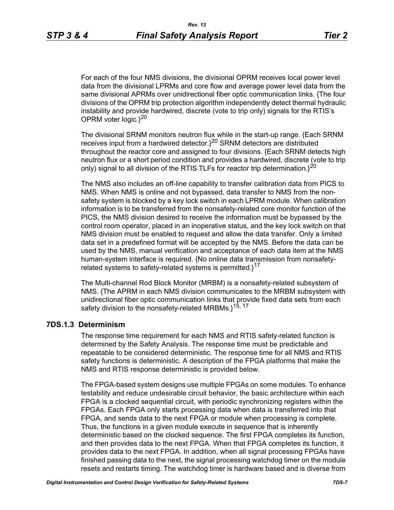For each of the four NMS divisions, the divisional OPRM receives local power level data from the divisional LPRMs and core flow and average power level data from the same divisional APRMs over unidirectional fiber optic communication links. {The four divisions of the OPRM trip protection algorithm independently detect thermal hydraulic instability and provide hardwired, discrete (vote to trip only) signals for the RTIS's OPRM voter logic. $3^{20}$ 

The divisional SRNM monitors neutron flux while in the start-up range. {Each SRNM receives input from a hardwired detector.}20 SRNM detectors are distributed throughout the reactor core and assigned to four divisions. {Each SRNM detects high neutron flux or a short period condition and provides a hardwired, discrete (vote to trip only) signal to all division of the RTIS TLFs for reactor trip determination. $3^{20}$ 

The NMS also includes an off-line capability to transfer calibration data from PICS to NMS. When NMS is online and not bypassed, data transfer to NMS from the nonsafety system is blocked by a key lock switch in each LPRM module. When calibration information is to be transferred from the nonsafety-related core monitor function of the PICS, the NMS division desired to receive the information must be bypassed by the control room operator, placed in an inoperative status, and the key lock switch on that NMS division must be enabled to request and allow the data transfer. Only a limited data set in a predefined format will be accepted by the NMS. Before the data can be used by the NMS, manual verification and acceptance of each data item at the NMS human-system interface is required. {No online data transmission from nonsafetyrelated systems to safety-related systems is permitted. $3^{17}$ 

The Multi-channel Rod Block Monitor (MRBM) is a nonsafety-related subsystem of NMS. {The APRM in each NMS division communicates to the MRBM subsystem with unidirectional fiber optic communication links that provide fixed data sets from each safety division to the nonsafety-related MRBMs.}<sup>15, 17</sup>

#### **7DS.1.3 Determinism**

The response time requirement for each NMS and RTIS safety-related function is determined by the Safety Analysis. The response time must be predictable and repeatable to be considered deterministic. The response time for all NMS and RTIS safety functions is deterministic. A description of the FPGA platforms that make the NMS and RTIS response deterministic is provided below.

The FPGA-based system designs use multiple FPGAs on some modules. To enhance testability and reduce undesirable circuit behavior, the basic architecture within each FPGA is a clocked sequential circuit, with periodic synchronizing registers within the FPGAs. Each FPGA only starts processing data when data is transferred into that FPGA, and sends data to the next FPGA or module when processing is complete. Thus, the functions in a given module execute in sequence that is inherently deterministic based on the clocked sequence. The first FPGA completes its function, and then provides data to the next FPGA. When that FPGA completes its function, it provides data to the next FPGA. In addition, when all signal processing FPGAs have finished passing data to the next, the signal processing watchdog timer on the module resets and restarts timing. The watchdog timer is hardware based and is diverse from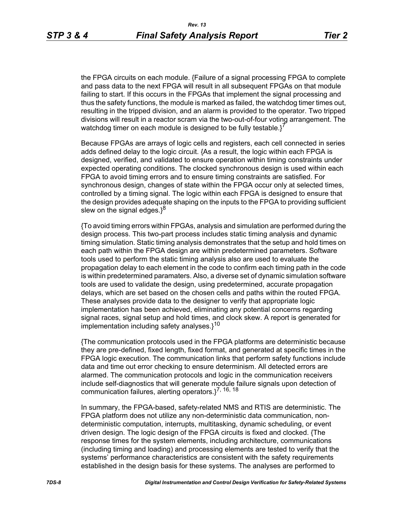the FPGA circuits on each module. {Failure of a signal processing FPGA to complete and pass data to the next FPGA will result in all subsequent FPGAs on that module failing to start. If this occurs in the FPGAs that implement the signal processing and thus the safety functions, the module is marked as failed, the watchdog timer times out, resulting in the tripped division, and an alarm is provided to the operator. Two tripped divisions will result in a reactor scram via the two-out-of-four voting arrangement. The watchdog timer on each module is designed to be fully testable. $i^7$ 

Because FPGAs are arrays of logic cells and registers, each cell connected in series adds defined delay to the logic circuit. {As a result, the logic within each FPGA is designed, verified, and validated to ensure operation within timing constraints under expected operating conditions. The clocked synchronous design is used within each FPGA to avoid timing errors and to ensure timing constraints are satisfied. For synchronous design, changes of state within the FPGA occur only at selected times, controlled by a timing signal. The logic within each FPGA is designed to ensure that the design provides adequate shaping on the inputs to the FPGA to providing sufficient slew on the signal edges. $3^8$ 

{To avoid timing errors within FPGAs, analysis and simulation are performed during the design process. This two-part process includes static timing analysis and dynamic timing simulation. Static timing analysis demonstrates that the setup and hold times on each path within the FPGA design are within predetermined parameters. Software tools used to perform the static timing analysis also are used to evaluate the propagation delay to each element in the code to confirm each timing path in the code is within predetermined paramaters. Also, a diverse set of dynamic simulation software tools are used to validate the design, using predetermined, accurate propagation delays, which are set based on the chosen cells and paths within the routed FPGA. These analyses provide data to the designer to verify that appropriate logic implementation has been achieved, eliminating any potential concerns regarding signal races, signal setup and hold times, and clock skew. A report is generated for implementation including safety analyses. $1^{10}$ 

{The communication protocols used in the FPGA platforms are deterministic because they are pre-defined, fixed length, fixed format, and generated at specific times in the FPGA logic execution. The communication links that perform safety functions include data and time out error checking to ensure determinism. All detected errors are alarmed. The communication protocols and logic in the communication receivers include self-diagnostics that will generate module failure signals upon detection of communication failures, alerting operators. $3^{7, 16, 18}$ 

In summary, the FPGA-based, safety-related NMS and RTIS are deterministic. The FPGA platform does not utilize any non-deterministic data communication, nondeterministic computation, interrupts, multitasking, dynamic scheduling, or event driven design. The logic design of the FPGA circuits is fixed and clocked. {The response times for the system elements, including architecture, communications (including timing and loading) and processing elements are tested to verify that the systems' performance characteristics are consistent with the safety requirements established in the design basis for these systems. The analyses are performed to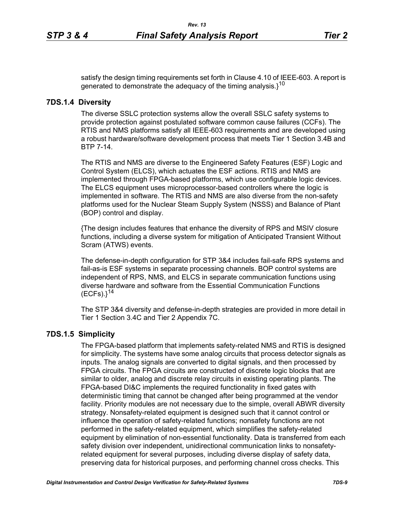satisfy the design timing requirements set forth in Clause 4.10 of IEEE-603. A report is generated to demonstrate the adequacy of the timing analysis. $3^{10}$ 

#### **7DS.1.4 Diversity**

The diverse SSLC protection systems allow the overall SSLC safety systems to provide protection against postulated software common cause failures (CCFs). The RTIS and NMS platforms satisfy all IEEE-603 requirements and are developed using a robust hardware/software development process that meets Tier 1 Section 3.4B and BTP 7-14.

The RTIS and NMS are diverse to the Engineered Safety Features (ESF) Logic and Control System (ELCS), which actuates the ESF actions. RTIS and NMS are implemented through FPGA-based platforms, which use configurable logic devices. The ELCS equipment uses microprocessor-based controllers where the logic is implemented in software. The RTIS and NMS are also diverse from the non-safety platforms used for the Nuclear Steam Supply System (NSSS) and Balance of Plant (BOP) control and display.

{The design includes features that enhance the diversity of RPS and MSIV closure functions, including a diverse system for mitigation of Anticipated Transient Without Scram (ATWS) events.

The defense-in-depth configuration for STP 3&4 includes fail-safe RPS systems and fail-as-is ESF systems in separate processing channels. BOP control systems are independent of RPS, NMS, and ELCS in separate communication functions using diverse hardware and software from the Essential Communication Functions  $(ECFs).$ <sup>14</sup>

The STP 3&4 diversity and defense-in-depth strategies are provided in more detail in Tier 1 Section 3.4C and Tier 2 Appendix 7C.

## **7DS.1.5 Simplicity**

The FPGA-based platform that implements safety-related NMS and RTIS is designed for simplicity. The systems have some analog circuits that process detector signals as inputs. The analog signals are converted to digital signals, and then processed by FPGA circuits. The FPGA circuits are constructed of discrete logic blocks that are similar to older, analog and discrete relay circuits in existing operating plants. The FPGA-based DI&C implements the required functionality in fixed gates with deterministic timing that cannot be changed after being programmed at the vendor facility. Priority modules are not necessary due to the simple, overall ABWR diversity strategy. Nonsafety-related equipment is designed such that it cannot control or influence the operation of safety-related functions; nonsafety functions are not performed in the safety-related equipment, which simplifies the safety-related equipment by elimination of non-essential functionality. Data is transferred from each safety division over independent, unidirectional communication links to nonsafetyrelated equipment for several purposes, including diverse display of safety data, preserving data for historical purposes, and performing channel cross checks. This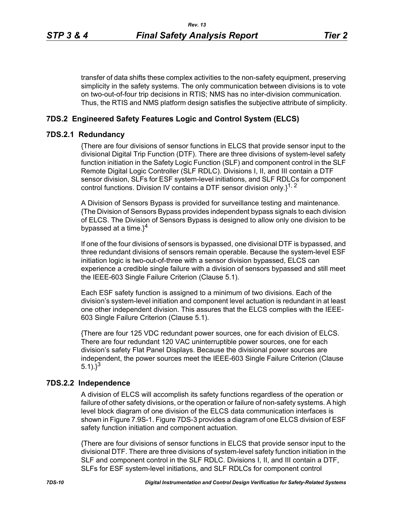transfer of data shifts these complex activities to the non-safety equipment, preserving simplicity in the safety systems. The only communication between divisions is to vote on two-out-of-four trip decisions in RTIS; NMS has no inter-division communication. Thus, the RTIS and NMS platform design satisfies the subjective attribute of simplicity.

## **7DS.2 Engineered Safety Features Logic and Control System (ELCS)**

#### **7DS.2.1 Redundancy**

{There are four divisions of sensor functions in ELCS that provide sensor input to the divisional Digital Trip Function (DTF). There are three divisions of system-level safety function initiation in the Safety Logic Function (SLF) and component control in the SLF Remote Digital Logic Controller (SLF RDLC). Divisions I, II, and III contain a DTF sensor division, SLFs for ESF system-level initiations, and SLF RDLCs for component control functions. Division IV contains a DTF sensor division only. $1^{1, 2}$ 

A Division of Sensors Bypass is provided for surveillance testing and maintenance. {The Division of Sensors Bypass provides independent bypass signals to each division of ELCS. The Division of Sensors Bypass is designed to allow only one division to be bypassed at a time. $3^4$ 

If one of the four divisions of sensors is bypassed, one divisional DTF is bypassed, and three redundant divisions of sensors remain operable. Because the system-level ESF initiation logic is two-out-of-three with a sensor division bypassed, ELCS can experience a credible single failure with a division of sensors bypassed and still meet the IEEE-603 Single Failure Criterion (Clause 5.1).

Each ESF safety function is assigned to a minimum of two divisions. Each of the division's system-level initiation and component level actuation is redundant in at least one other independent division. This assures that the ELCS complies with the IEEE-603 Single Failure Criterion (Clause 5.1).

{There are four 125 VDC redundant power sources, one for each division of ELCS. There are four redundant 120 VAC uninterruptible power sources, one for each division's safety Flat Panel Displays. Because the divisional power sources are independent, the power sources meet the IEEE-603 Single Failure Criterion (Clause 5.1). $3^3$ 

#### **7DS.2.2 Independence**

A division of ELCS will accomplish its safety functions regardless of the operation or failure of other safety divisions, or the operation or failure of non-safety systems. A high level block diagram of one division of the ELCS data communication interfaces is shown in Figure 7.9S-1. Figure 7DS-3 provides a diagram of one ELCS division of ESF safety function initiation and component actuation.

{There are four divisions of sensor functions in ELCS that provide sensor input to the divisional DTF. There are three divisions of system-level safety function initiation in the SLF and component control in the SLF RDLC. Divisions I, II, and III contain a DTF, SLFs for ESF system-level initiations, and SLF RDLCs for component control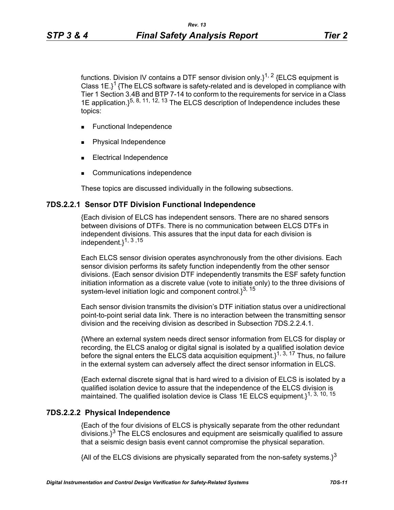functions. Division IV contains a DTF sensor division only. $1^{1, 2}$  {ELCS equipment is Class  $1E$ <sup>1</sup> {The ELCS software is safety-related and is developed in compliance with Tier 1 Section 3.4B and BTP 7-14 to conform to the requirements for service in a Class 1E application.  $\xi^{5, 8, 11, 12, 13}$  The ELCS description of Independence includes these topics:

- **Functional Independence**
- Physical Independence
- Electrical Independence
- Communications independence

These topics are discussed individually in the following subsections.

#### **7DS.2.2.1 Sensor DTF Division Functional Independence**

{Each division of ELCS has independent sensors. There are no shared sensors between divisions of DTFs. There is no communication between ELCS DTFs in independent divisions. This assures that the input data for each division is independent.}1, 3 ,15

Each ELCS sensor division operates asynchronously from the other divisions. Each sensor division performs its safety function independently from the other sensor divisions. {Each sensor division DTF independently transmits the ESF safety function initiation information as a discrete value (vote to initiate only) to the three divisions of system-level initiation logic and component control. $3^{3, 15}$ 

Each sensor division transmits the division's DTF initiation status over a unidirectional point-to-point serial data link. There is no interaction between the transmitting sensor division and the receiving division as described in Subsection 7DS.2.2.4.1.

{Where an external system needs direct sensor information from ELCS for display or recording, the ELCS analog or digital signal is isolated by a qualified isolation device before the signal enters the ELCS data acquisition equipment.  $1^{1, 3, 17}$  Thus, no failure in the external system can adversely affect the direct sensor information in ELCS.

{Each external discrete signal that is hard wired to a division of ELCS is isolated by a qualified isolation device to assure that the independence of the ELCS division is maintained. The qualified isolation device is Class 1E ELCS equipment.<sup>1, 3, 10, 15</sup>

#### **7DS.2.2.2 Physical Independence**

{Each of the four divisions of ELCS is physically separate from the other redundant  $\frac{1}{3}$  divisions.<sup>3</sup> The ELCS enclosures and equipment are seismically qualified to assure that a seismic design basis event cannot compromise the physical separation.

{All of the ELCS divisions are physically separated from the non-safety systems.}<sup>3</sup>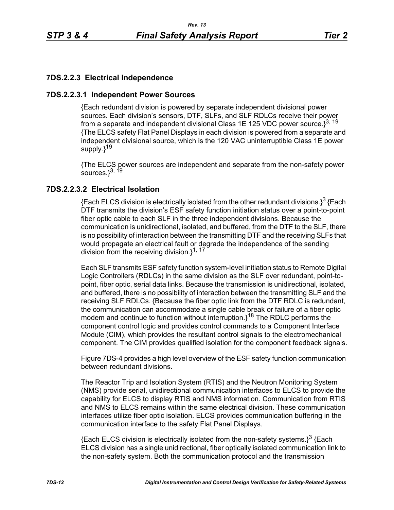# **7DS.2.2.3 Electrical Independence**

## **7DS.2.2.3.1 Independent Power Sources**

{Each redundant division is powered by separate independent divisional power sources. Each division's sensors, DTF, SLFs, and SLF RDLCs receive their power from a separate and independent divisional Class 1E 125 VDC power source. $3^{3, 19}$ {The ELCS safety Flat Panel Displays in each division is powered from a separate and independent divisional source, which is the 120 VAC uninterruptible Class 1E power supply.}<sup>19</sup>

{The ELCS power sources are independent and separate from the non-safety power sources. $3^{3, 19}$ 

## **7DS.2.2.3.2 Electrical Isolation**

{Each ELCS division is electrically isolated from the other redundant divisions.}<sup>3</sup> {Each DTF transmits the division's ESF safety function initiation status over a point-to-point fiber optic cable to each SLF in the three independent divisions. Because the communication is unidirectional, isolated, and buffered, from the DTF to the SLF, there is no possibility of interaction between the transmitting DTF and the receiving SLFs that would propagate an electrical fault or degrade the independence of the sending division from the receiving division.}<sup>1, 17</sup>

Each SLF transmits ESF safety function system-level initiation status to Remote Digital Logic Controllers (RDLCs) in the same division as the SLF over redundant, point-topoint, fiber optic, serial data links. Because the transmission is unidirectional, isolated, and buffered, there is no possibility of interaction between the transmitting SLF and the receiving SLF RDLCs. {Because the fiber optic link from the DTF RDLC is redundant, the communication can accommodate a single cable break or failure of a fiber optic modem and continue to function without interruption. $3^{18}$  The RDLC performs the component control logic and provides control commands to a Component Interface Module (CIM), which provides the resultant control signals to the electromechanical component. The CIM provides qualified isolation for the component feedback signals.

Figure 7DS-4 provides a high level overview of the ESF safety function communication between redundant divisions.

The Reactor Trip and Isolation System (RTIS) and the Neutron Monitoring System (NMS) provide serial, unidirectional communication interfaces to ELCS to provide the capability for ELCS to display RTIS and NMS information. Communication from RTIS and NMS to ELCS remains within the same electrical division. These communication interfaces utilize fiber optic isolation. ELCS provides communication buffering in the communication interface to the safety Flat Panel Displays.

 ${Each ELCS}$  division is electrically isolated from the non-safety systems. $3^3$  {Each ELCS division has a single unidirectional, fiber optically isolated communication link to the non-safety system. Both the communication protocol and the transmission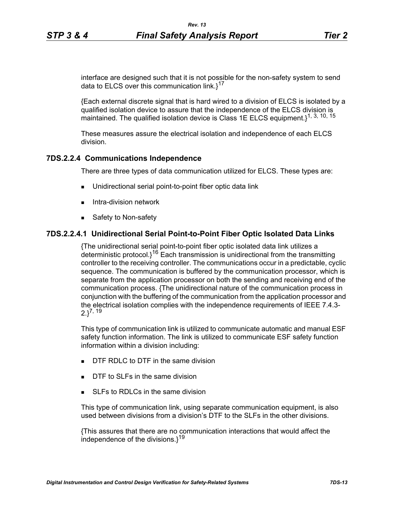interface are designed such that it is not possible for the non-safety system to send data to ELCS over this communication link. $1^{17}$ 

{Each external discrete signal that is hard wired to a division of ELCS is isolated by a qualified isolation device to assure that the independence of the ELCS division is maintained. The qualified isolation device is Class 1E ELCS equipment.}<sup>1, 3, 10, 15</sup>

These measures assure the electrical isolation and independence of each ELCS division.

### **7DS.2.2.4 Communications Independence**

There are three types of data communication utilized for ELCS. These types are:

- Unidirectional serial point-to-point fiber optic data link
- $\blacksquare$  Intra-division network
- Safety to Non-safety

### **7DS.2.2.4.1 Unidirectional Serial Point-to-Point Fiber Optic Isolated Data Links**

{The unidirectional serial point-to-point fiber optic isolated data link utilizes a deterministic protocol. $i^{16}$  Each transmission is unidirectional from the transmitting controller to the receiving controller. The communications occur in a predictable, cyclic sequence. The communication is buffered by the communication processor, which is separate from the application processor on both the sending and receiving end of the communication process. {The unidirectional nature of the communication process in conjunction with the buffering of the communication from the application processor and the electrical isolation complies with the independence requirements of IEEE 7.4.3-  $2.3^{7, 19}$ 

This type of communication link is utilized to communicate automatic and manual ESF safety function information. The link is utilized to communicate ESF safety function information within a division including:

- $\Box$  DTF RDLC to DTF in the same division
- DTF to SLFs in the same division
- SLEs to RDLCs in the same division

This type of communication link, using separate communication equipment, is also used between divisions from a division's DTF to the SLFs in the other divisions.

{This assures that there are no communication interactions that would affect the independence of the divisions. $1^{19}$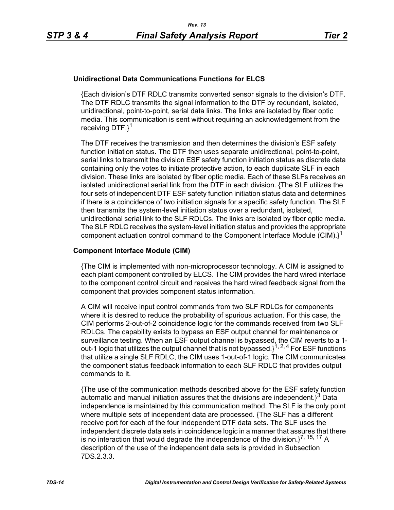#### **Unidirectional Data Communications Functions for ELCS**

{Each division's DTF RDLC transmits converted sensor signals to the division's DTF. The DTF RDLC transmits the signal information to the DTF by redundant, isolated, unidirectional, point-to-point, serial data links. The links are isolated by fiber optic media. This communication is sent without requiring an acknowledgement from the receiving DTF.}<sup>1</sup>

The DTF receives the transmission and then determines the division's ESF safety function initiation status. The DTF then uses separate unidirectional, point-to-point, serial links to transmit the division ESF safety function initiation status as discrete data containing only the votes to initiate protective action, to each duplicate SLF in each division. These links are isolated by fiber optic media. Each of these SLFs receives an isolated unidirectional serial link from the DTF in each division. {The SLF utilizes the four sets of independent DTF ESF safety function initiation status data and determines if there is a coincidence of two initiation signals for a specific safety function. The SLF then transmits the system-level initiation status over a redundant, isolated, unidirectional serial link to the SLF RDLCs. The links are isolated by fiber optic media. The SLF RDLC receives the system-level initiation status and provides the appropriate component actuation control command to the Component Interface Module (CIM). $i^1$ 

#### **Component Interface Module (CIM)**

{The CIM is implemented with non-microprocessor technology. A CIM is assigned to each plant component controlled by ELCS. The CIM provides the hard wired interface to the component control circuit and receives the hard wired feedback signal from the component that provides component status information.

A CIM will receive input control commands from two SLF RDLCs for components where it is desired to reduce the probability of spurious actuation. For this case, the CIM performs 2-out-of-2 coincidence logic for the commands received from two SLF RDLCs. The capability exists to bypass an ESF output channel for maintenance or surveillance testing. When an ESF output channel is bypassed, the CIM reverts to a 1 out-1 logic that utilizes the output channel that is not bypassed. $1^{1, 2, 4}$  For ESF functions that utilize a single SLF RDLC, the CIM uses 1-out-of-1 logic. The CIM communicates the component status feedback information to each SLF RDLC that provides output commands to it.

{The use of the communication methods described above for the ESF safety function automatic and manual initiation assures that the divisions are independent. $3^3$  Data independence is maintained by this communication method. The SLF is the only point where multiple sets of independent data are processed. {The SLF has a different receive port for each of the four independent DTF data sets. The SLF uses the independent discrete data sets in coincidence logic in a manner that assures that there is no interaction that would degrade the independence of the division. $1^{7, 15, 17}$  A description of the use of the independent data sets is provided in Subsection 7DS.2.3.3.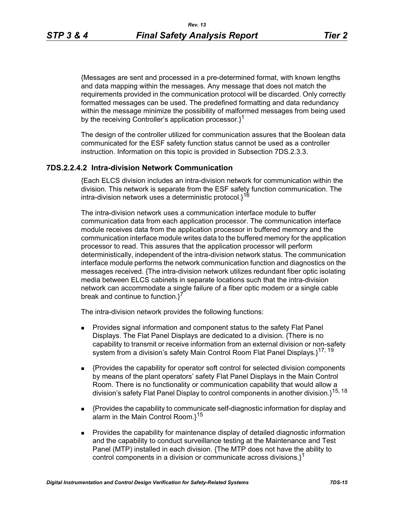{Messages are sent and processed in a pre-determined format, with known lengths and data mapping within the messages. Any message that does not match the requirements provided in the communication protocol will be discarded. Only correctly formatted messages can be used. The predefined formatting and data redundancy within the message minimize the possibility of malformed messages from being used by the receiving Controller's application processor. $3^1$ 

The design of the controller utilized for communication assures that the Boolean data communicated for the ESF safety function status cannot be used as a controller instruction. Information on this topic is provided in Subsection 7DS.2.3.3.

## **7DS.2.2.4.2 Intra-division Network Communication**

{Each ELCS division includes an intra-division network for communication within the division. This network is separate from the ESF safety function communication. The intra-division network uses a deterministic protocol. $1^{16}$ 

The intra-division network uses a communication interface module to buffer communication data from each application processor. The communication interface module receives data from the application processor in buffered memory and the communication interface module writes data to the buffered memory for the application processor to read. This assures that the application processor will perform deterministically, independent of the intra-division network status. The communication interface module performs the network communication function and diagnostics on the messages received. {The intra-division network utilizes redundant fiber optic isolating media between ELCS cabinets in separate locations such that the intra-division network can accommodate a single failure of a fiber optic modem or a single cable break and continue to function.<sup>7</sup>

The intra-division network provides the following functions:

- **Provides signal information and component status to the safety Flat Panel** Displays. The Flat Panel Displays are dedicated to a division. {There is no capability to transmit or receive information from an external division or non-safety system from a division's safety Main Control Room Flat Panel Displays.}<sup>17, 19</sup>
- {Provides the capability for operator soft control for selected division components by means of the plant operators' safety Flat Panel Displays in the Main Control Room. There is no functionality or communication capability that would allow a division's safety Flat Panel Display to control components in another division.}15, 18
- {Provides the capability to communicate self-diagnostic information for display and alarm in the Main Control Room.}<sup>15</sup>
- **Provides the capability for maintenance display of detailed diagnostic information** and the capability to conduct surveillance testing at the Maintenance and Test Panel (MTP) installed in each division. {The MTP does not have the ability to control components in a division or communicate across divisions. $l^1$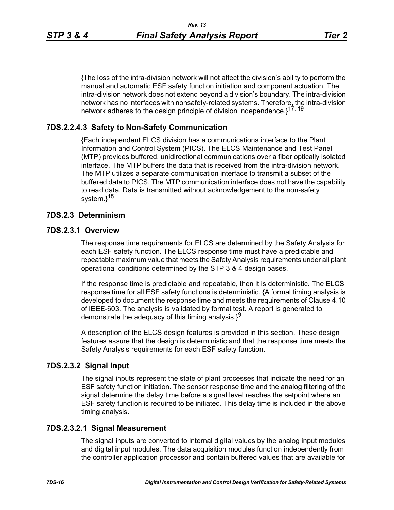{The loss of the intra-division network will not affect the division's ability to perform the manual and automatic ESF safety function initiation and component actuation. The intra-division network does not extend beyond a division's boundary. The intra-division network has no interfaces with nonsafety-related systems. Therefore, the intra-division network adheres to the design principle of division independence.}<sup>17, 19</sup>

## **7DS.2.2.4.3 Safety to Non-Safety Communication**

{Each independent ELCS division has a communications interface to the Plant Information and Control System (PICS). The ELCS Maintenance and Test Panel (MTP) provides buffered, unidirectional communications over a fiber optically isolated interface. The MTP buffers the data that is received from the intra-division network. The MTP utilizes a separate communication interface to transmit a subset of the buffered data to PICS. The MTP communication interface does not have the capability to read data. Data is transmitted without acknowledgement to the non-safety system.}<sup>15</sup>

### **7DS.2.3 Determinism**

#### **7DS.2.3.1 Overview**

The response time requirements for ELCS are determined by the Safety Analysis for each ESF safety function. The ELCS response time must have a predictable and repeatable maximum value that meets the Safety Analysis requirements under all plant operational conditions determined by the STP 3 & 4 design bases.

If the response time is predictable and repeatable, then it is deterministic. The ELCS response time for all ESF safety functions is deterministic. {A formal timing analysis is developed to document the response time and meets the requirements of Clause 4.10 of IEEE-603. The analysis is validated by formal test. A report is generated to demonstrate the adequacy of this timing analysis. $3^9$ 

A description of the ELCS design features is provided in this section. These design features assure that the design is deterministic and that the response time meets the Safety Analysis requirements for each ESF safety function.

#### **7DS.2.3.2 Signal Input**

The signal inputs represent the state of plant processes that indicate the need for an ESF safety function initiation. The sensor response time and the analog filtering of the signal determine the delay time before a signal level reaches the setpoint where an ESF safety function is required to be initiated. This delay time is included in the above timing analysis.

#### **7DS.2.3.2.1 Signal Measurement**

The signal inputs are converted to internal digital values by the analog input modules and digital input modules. The data acquisition modules function independently from the controller application processor and contain buffered values that are available for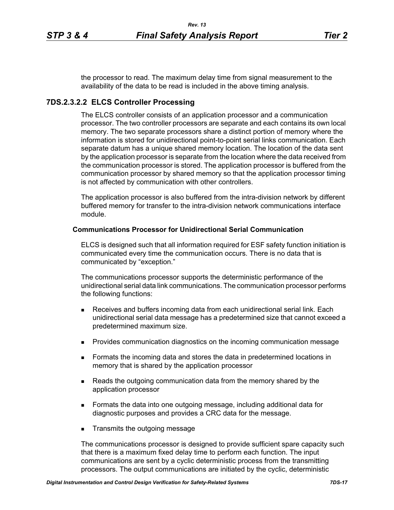the processor to read. The maximum delay time from signal measurement to the availability of the data to be read is included in the above timing analysis.

## **7DS.2.3.2.2 ELCS Controller Processing**

The ELCS controller consists of an application processor and a communication processor. The two controller processors are separate and each contains its own local memory. The two separate processors share a distinct portion of memory where the information is stored for unidirectional point-to-point serial links communication. Each separate datum has a unique shared memory location. The location of the data sent by the application processor is separate from the location where the data received from the communication processor is stored. The application processor is buffered from the communication processor by shared memory so that the application processor timing is not affected by communication with other controllers.

The application processor is also buffered from the intra-division network by different buffered memory for transfer to the intra-division network communications interface module.

#### **Communications Processor for Unidirectional Serial Communication**

ELCS is designed such that all information required for ESF safety function initiation is communicated every time the communication occurs. There is no data that is communicated by "exception."

The communications processor supports the deterministic performance of the unidirectional serial data link communications. The communication processor performs the following functions:

- **Receives and buffers incoming data from each unidirectional serial link. Each** unidirectional serial data message has a predetermined size that cannot exceed a predetermined maximum size.
- **Provides communication diagnostics on the incoming communication message**
- **Formats the incoming data and stores the data in predetermined locations in** memory that is shared by the application processor
- **Reads the outgoing communication data from the memory shared by the** application processor
- Formats the data into one outgoing message, including additional data for diagnostic purposes and provides a CRC data for the message.
- **Transmits the outgoing message**

The communications processor is designed to provide sufficient spare capacity such that there is a maximum fixed delay time to perform each function. The input communications are sent by a cyclic deterministic process from the transmitting processors. The output communications are initiated by the cyclic, deterministic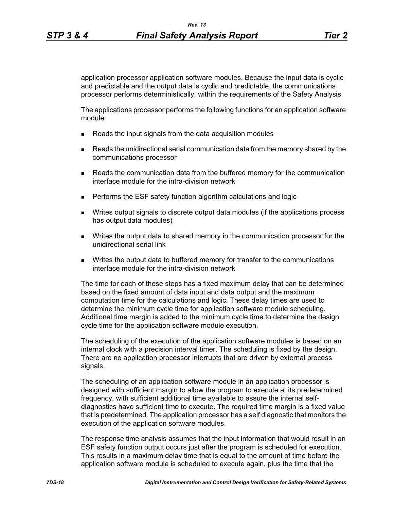application processor application software modules. Because the input data is cyclic and predictable and the output data is cyclic and predictable, the communications processor performs deterministically, within the requirements of the Safety Analysis.

The applications processor performs the following functions for an application software module:

- Reads the input signals from the data acquisition modules
- **Reads the unidirectional serial communication data from the memory shared by the** communications processor
- **Reads the communication data from the buffered memory for the communication** interface module for the intra-division network
- **Performs the ESF safety function algorithm calculations and logic**
- Writes output signals to discrete output data modules (if the applications process has output data modules)
- Writes the output data to shared memory in the communication processor for the unidirectional serial link
- **Writes the output data to buffered memory for transfer to the communications** interface module for the intra-division network

The time for each of these steps has a fixed maximum delay that can be determined based on the fixed amount of data input and data output and the maximum computation time for the calculations and logic. These delay times are used to determine the minimum cycle time for application software module scheduling. Additional time margin is added to the minimum cycle time to determine the design cycle time for the application software module execution.

The scheduling of the execution of the application software modules is based on an internal clock with a precision interval timer. The scheduling is fixed by the design. There are no application processor interrupts that are driven by external process signals.

The scheduling of an application software module in an application processor is designed with sufficient margin to allow the program to execute at its predetermined frequency, with sufficient additional time available to assure the internal selfdiagnostics have sufficient time to execute. The required time margin is a fixed value that is predetermined. The application processor has a self diagnostic that monitors the execution of the application software modules.

The response time analysis assumes that the input information that would result in an ESF safety function output occurs just after the program is scheduled for execution. This results in a maximum delay time that is equal to the amount of time before the application software module is scheduled to execute again, plus the time that the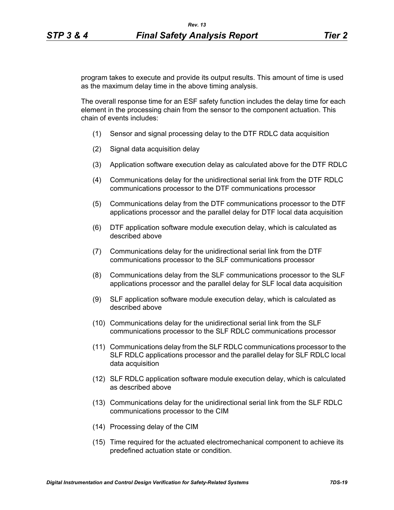program takes to execute and provide its output results. This amount of time is used as the maximum delay time in the above timing analysis.

The overall response time for an ESF safety function includes the delay time for each element in the processing chain from the sensor to the component actuation. This chain of events includes:

- (1) Sensor and signal processing delay to the DTF RDLC data acquisition
- (2) Signal data acquisition delay
- (3) Application software execution delay as calculated above for the DTF RDLC
- (4) Communications delay for the unidirectional serial link from the DTF RDLC communications processor to the DTF communications processor
- (5) Communications delay from the DTF communications processor to the DTF applications processor and the parallel delay for DTF local data acquisition
- (6) DTF application software module execution delay, which is calculated as described above
- (7) Communications delay for the unidirectional serial link from the DTF communications processor to the SLF communications processor
- (8) Communications delay from the SLF communications processor to the SLF applications processor and the parallel delay for SLF local data acquisition
- (9) SLF application software module execution delay, which is calculated as described above
- (10) Communications delay for the unidirectional serial link from the SLF communications processor to the SLF RDLC communications processor
- (11) Communications delay from the SLF RDLC communications processor to the SLF RDLC applications processor and the parallel delay for SLF RDLC local data acquisition
- (12) SLF RDLC application software module execution delay, which is calculated as described above
- (13) Communications delay for the unidirectional serial link from the SLF RDLC communications processor to the CIM
- (14) Processing delay of the CIM
- (15) Time required for the actuated electromechanical component to achieve its predefined actuation state or condition.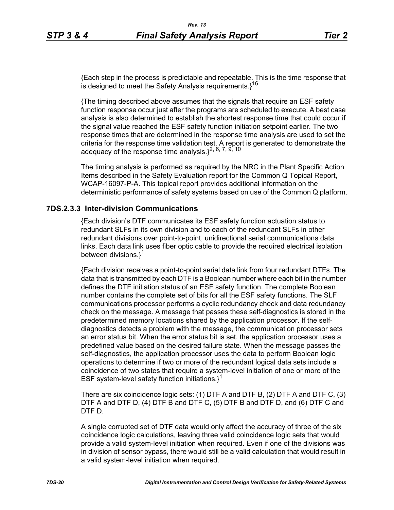{Each step in the process is predictable and repeatable. This is the time response that is designed to meet the Safety Analysis requirements. $3^{16}$ 

{The timing described above assumes that the signals that require an ESF safety function response occur just after the programs are scheduled to execute. A best case analysis is also determined to establish the shortest response time that could occur if the signal value reached the ESF safety function initiation setpoint earlier. The two response times that are determined in the response time analysis are used to set the criteria for the response time validation test. A report is generated to demonstrate the adequacy of the response time analysis. $3^2$ ,  $6$ ,  $7$ ,  $9$ ,  $10$ 

The timing analysis is performed as required by the NRC in the Plant Specific Action Items described in the Safety Evaluation report for the Common Q Topical Report, WCAP-16097-P-A. This topical report provides additional information on the deterministic performance of safety systems based on use of the Common Q platform.

### **7DS.2.3.3 Inter-division Communications**

{Each division's DTF communicates its ESF safety function actuation status to redundant SLFs in its own division and to each of the redundant SLFs in other redundant divisions over point-to-point, unidirectional serial communications data links. Each data link uses fiber optic cable to provide the required electrical isolation between divisions.}<sup>1</sup>

{Each division receives a point-to-point serial data link from four redundant DTFs. The data that is transmitted by each DTF is a Boolean number where each bit in the number defines the DTF initiation status of an ESF safety function. The complete Boolean number contains the complete set of bits for all the ESF safety functions. The SLF communications processor performs a cyclic redundancy check and data redundancy check on the message. A message that passes these self-diagnostics is stored in the predetermined memory locations shared by the application processor. If the selfdiagnostics detects a problem with the message, the communication processor sets an error status bit. When the error status bit is set, the application processor uses a predefined value based on the desired failure state. When the message passes the self-diagnostics, the application processor uses the data to perform Boolean logic operations to determine if two or more of the redundant logical data sets include a coincidence of two states that require a system-level initiation of one or more of the ESF system-level safety function initiations. $1^1$ 

There are six coincidence logic sets: (1) DTF A and DTF B, (2) DTF A and DTF C, (3) DTF A and DTF D, (4) DTF B and DTF C, (5) DTF B and DTF D, and (6) DTF C and DTF D.

A single corrupted set of DTF data would only affect the accuracy of three of the six coincidence logic calculations, leaving three valid coincidence logic sets that would provide a valid system-level initiation when required. Even if one of the divisions was in division of sensor bypass, there would still be a valid calculation that would result in a valid system-level initiation when required.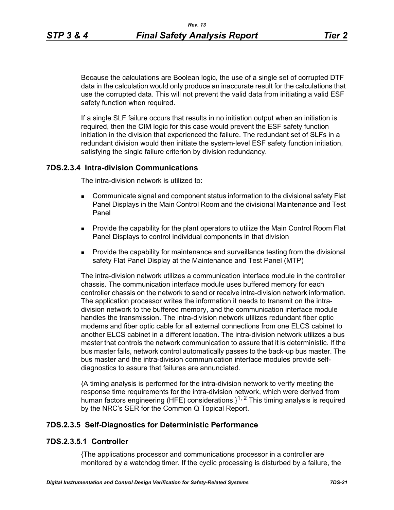Because the calculations are Boolean logic, the use of a single set of corrupted DTF data in the calculation would only produce an inaccurate result for the calculations that use the corrupted data. This will not prevent the valid data from initiating a valid ESF safety function when required.

If a single SLF failure occurs that results in no initiation output when an initiation is required, then the CIM logic for this case would prevent the ESF safety function initiation in the division that experienced the failure. The redundant set of SLFs in a redundant division would then initiate the system-level ESF safety function initiation, satisfying the single failure criterion by division redundancy.

#### **7DS.2.3.4 Intra-division Communications**

The intra-division network is utilized to:

- Communicate signal and component status information to the divisional safety Flat Panel Displays in the Main Control Room and the divisional Maintenance and Test Panel
- **Provide the capability for the plant operators to utilize the Main Control Room Flat** Panel Displays to control individual components in that division
- **Provide the capability for maintenance and surveillance testing from the divisional** safety Flat Panel Display at the Maintenance and Test Panel (MTP)

The intra-division network utilizes a communication interface module in the controller chassis. The communication interface module uses buffered memory for each controller chassis on the network to send or receive intra-division network information. The application processor writes the information it needs to transmit on the intradivision network to the buffered memory, and the communication interface module handles the transmission. The intra-division network utilizes redundant fiber optic modems and fiber optic cable for all external connections from one ELCS cabinet to another ELCS cabinet in a different location. The intra-division network utilizes a bus master that controls the network communication to assure that it is deterministic. If the bus master fails, network control automatically passes to the back-up bus master. The bus master and the intra-division communication interface modules provide selfdiagnostics to assure that failures are annunciated.

{A timing analysis is performed for the intra-division network to verify meeting the response time requirements for the intra-division network, which were derived from human factors engineering (HFE) considerations. $1^{1, 2}$  This timing analysis is required by the NRC's SER for the Common Q Topical Report.

## **7DS.2.3.5 Self-Diagnostics for Deterministic Performance**

#### **7DS.2.3.5.1 Controller**

{The applications processor and communications processor in a controller are monitored by a watchdog timer. If the cyclic processing is disturbed by a failure, the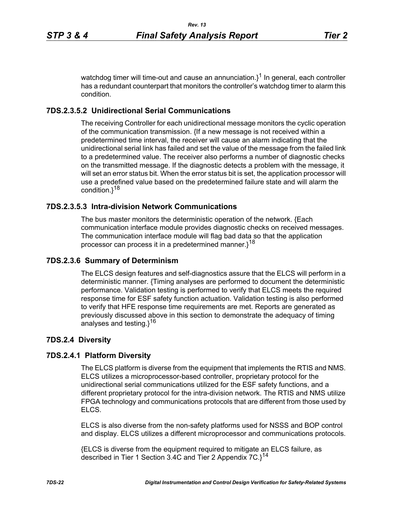watchdog timer will time-out and cause an annunciation. $3^1$  In general, each controller has a redundant counterpart that monitors the controller's watchdog timer to alarm this condition.

# **7DS.2.3.5.2 Unidirectional Serial Communications**

The receiving Controller for each unidirectional message monitors the cyclic operation of the communication transmission. {If a new message is not received within a predetermined time interval, the receiver will cause an alarm indicating that the unidirectional serial link has failed and set the value of the message from the failed link to a predetermined value. The receiver also performs a number of diagnostic checks on the transmitted message. If the diagnostic detects a problem with the message, it will set an error status bit. When the error status bit is set, the application processor will use a predefined value based on the predetermined failure state and will alarm the condition.}<sup>18</sup>

# **7DS.2.3.5.3 Intra-division Network Communications**

The bus master monitors the deterministic operation of the network. {Each communication interface module provides diagnostic checks on received messages. The communication interface module will flag bad data so that the application processor can process it in a predetermined manner. $1^{18}$ 

# **7DS.2.3.6 Summary of Determinism**

The ELCS design features and self-diagnostics assure that the ELCS will perform in a deterministic manner. {Timing analyses are performed to document the deterministic performance. Validation testing is performed to verify that ELCS meets the required response time for ESF safety function actuation. Validation testing is also performed to verify that HFE response time requirements are met. Reports are generated as previously discussed above in this section to demonstrate the adequacy of timing analyses and testing. $1^{16}$ 

# **7DS.2.4 Diversity**

# **7DS.2.4.1 Platform Diversity**

The ELCS platform is diverse from the equipment that implements the RTIS and NMS. ELCS utilizes a microprocessor-based controller, proprietary protocol for the unidirectional serial communications utilized for the ESF safety functions, and a different proprietary protocol for the intra-division network. The RTIS and NMS utilize FPGA technology and communications protocols that are different from those used by ELCS.

ELCS is also diverse from the non-safety platforms used for NSSS and BOP control and display. ELCS utilizes a different microprocessor and communications protocols.

{ELCS is diverse from the equipment required to mitigate an ELCS failure, as described in Tier 1 Section 3.4C and Tier 2 Appendix 7C.<sup>14</sup>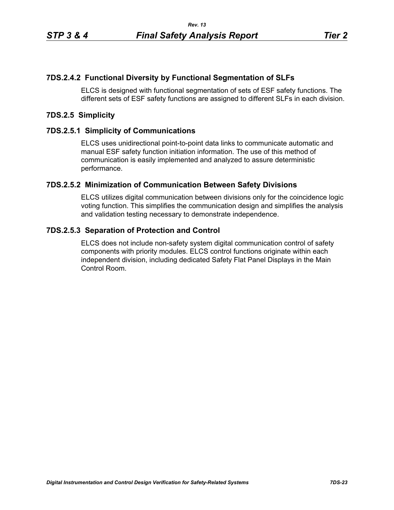## **7DS.2.4.2 Functional Diversity by Functional Segmentation of SLFs**

ELCS is designed with functional segmentation of sets of ESF safety functions. The different sets of ESF safety functions are assigned to different SLFs in each division.

#### **7DS.2.5 Simplicity**

### **7DS.2.5.1 Simplicity of Communications**

ELCS uses unidirectional point-to-point data links to communicate automatic and manual ESF safety function initiation information. The use of this method of communication is easily implemented and analyzed to assure deterministic performance.

#### **7DS.2.5.2 Minimization of Communication Between Safety Divisions**

ELCS utilizes digital communication between divisions only for the coincidence logic voting function. This simplifies the communication design and simplifies the analysis and validation testing necessary to demonstrate independence.

### **7DS.2.5.3 Separation of Protection and Control**

ELCS does not include non-safety system digital communication control of safety components with priority modules. ELCS control functions originate within each independent division, including dedicated Safety Flat Panel Displays in the Main Control Room.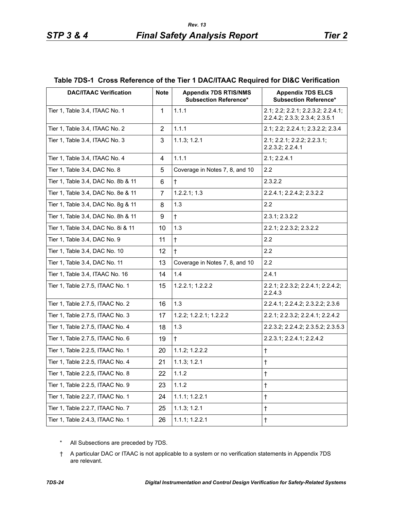#### **Table 7DS-1 Cross Reference of the Tier 1 DAC/ITAAC Required for DI&C Verification**

| <b>DAC/ITAAC Verification</b>      | <b>Note</b>    | <b>Appendix 7DS RTIS/NMS</b><br><b>Subsection Reference*</b> | <b>Appendix 7DS ELCS</b><br><b>Subsection Reference*</b>             |
|------------------------------------|----------------|--------------------------------------------------------------|----------------------------------------------------------------------|
| Tier 1, Table 3.4, ITAAC No. 1     | 1              | 1.1.1                                                        | 2.1; 2.2; 2.2.1; 2.2.3.2; 2.2.4.1;<br>2.2.4.2; 2.3.3; 2.3.4; 2.3.5.1 |
| Tier 1, Table 3.4, ITAAC No. 2     | 2              | 1.1.1                                                        | 2.1; 2.2; 2.2.4.1; 2.3.2.2; 2.3.4                                    |
| Tier 1, Table 3.4, ITAAC No. 3     | 3              | 1.1.3; 1.2.1                                                 | 2.1; 2.2.1; 2.2.2; 2.2.3.1;<br>2.2.3.2; 2.2.4.1                      |
| Tier 1, Table 3.4, ITAAC No. 4     | 4              | 1.1.1                                                        | 2.1; 2.2.4.1                                                         |
| Tier 1, Table 3.4, DAC No. 8       | 5              | Coverage in Notes 7, 8, and 10                               | 2.2                                                                  |
| Tier 1, Table 3.4, DAC No. 8b & 11 | 6              | $\ddagger$                                                   | 2.3.2.2                                                              |
| Tier 1, Table 3.4, DAC No. 8e & 11 | $\overline{7}$ | 1.2.2.1; 1.3                                                 | 2.2.4.1; 2.2.4.2; 2.3.2.2                                            |
| Tier 1, Table 3.4, DAC No. 8g & 11 | 8              | 1.3                                                          | 2.2                                                                  |
| Tier 1, Table 3.4, DAC No. 8h & 11 | 9              | $\ddagger$                                                   | 2.3.1; 2.3.2.2                                                       |
| Tier 1, Table 3.4, DAC No. 8i & 11 | 10             | 1.3                                                          | 2.2.1; 2.2.3.2; 2.3.2.2                                              |
| Tier 1, Table 3.4, DAC No. 9       | 11             | $\ddagger$                                                   | 2.2                                                                  |
| Tier 1, Table 3.4, DAC No. 10      | 12             | $\ddagger$                                                   | 2.2                                                                  |
| Tier 1, Table 3.4, DAC No. 11      | 13             | Coverage in Notes 7, 8, and 10                               | 2.2                                                                  |
| Tier 1, Table 3.4, ITAAC No. 16    | 14             | 1.4                                                          | 2.4.1                                                                |
| Tier 1, Table 2.7.5, ITAAC No. 1   | 15             | 1.2.2.1; 1.2.2.2                                             | 2.2.1; 2.2.3.2; 2.2.4.1; 2.2.4.2;<br>2.2.4.3                         |
| Tier 1, Table 2.7.5, ITAAC No. 2   | 16             | 1.3                                                          | 2.2.4.1; 2.2.4.2; 2.3.2.2; 2.3.6                                     |
| Tier 1, Table 2.7.5, ITAAC No. 3   | 17             | 1.2.2; 1.2.2.1; 1.2.2.2                                      | 2.2.1; 2.2.3.2; 2.2.4.1; 2.2.4.2                                     |
| Tier 1, Table 2.7.5, ITAAC No. 4   | 18             | 1.3                                                          | 2.2.3.2; 2.2.4.2; 2.3.5.2; 2.3.5.3                                   |
| Tier 1, Table 2.7.5, ITAAC No. 6   | 19             | $\ddagger$                                                   | 2.2.3.1; 2.2.4.1; 2.2.4.2                                            |
| Tier 1, Table 2.2.5, ITAAC No. 1   | 20             | 1.1.2; 1.2.2.2                                               | $\ddagger$                                                           |
| Tier 1, Table 2.2.5, ITAAC No. 4   | 21             | 1.1.3; 1.2.1                                                 | $\ddagger$                                                           |
| Tier 1, Table 2.2.5, ITAAC No. 8   | 22             | 1.1.2                                                        | $\dagger$                                                            |
| Tier 1, Table 2.2.5, ITAAC No. 9   | 23             | 1.1.2                                                        | $^\dagger$                                                           |
| Tier 1, Table 2.2.7, ITAAC No. 1   | 24             | 1.1.1; 1.2.2.1                                               | $\dagger$                                                            |
| Tier 1, Table 2.2.7, ITAAC No. 7   | 25             | 1.1.3; 1.2.1                                                 | $^\dagger$                                                           |
| Tier 1, Table 2.4.3, ITAAC No. 1   | 26             | 1.1.1; 1.2.2.1                                               | $\dagger$                                                            |

- \* All Subsections are preceded by 7DS.
- † A particular DAC or ITAAC is not applicable to a system or no verification statements in Appendix 7DS are relevant.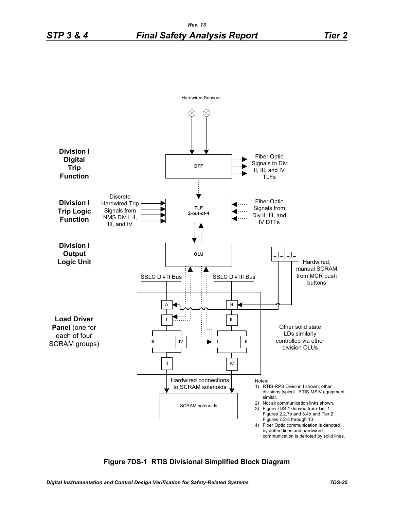

### **Figure 7DS-1 RTIS Divisional Simplified Block Diagram**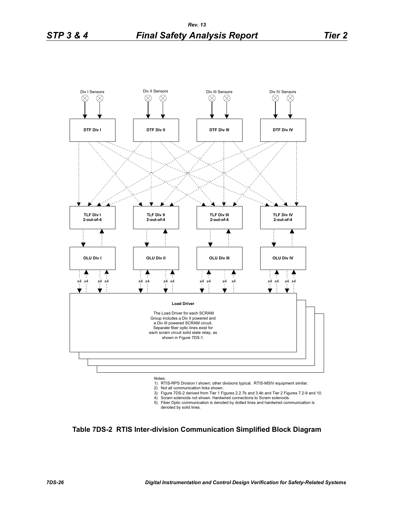

- 2) Not all communication links shown.
- 3) Figure 7DS-2 derived from Tier 1 Figures 2.2.7b and 3.4b and Tier 2 Figures 7.2-9 and 10.
- 4) Scram solenoids not shown. Hardwired connections to Scram solenoids.
- 5) Fiber Optic communication is denoted by dotted lines and hardwired communication is denoted by solid lines.

**Table 7DS-2 RTIS Inter-division Communication Simplified Block Diagram**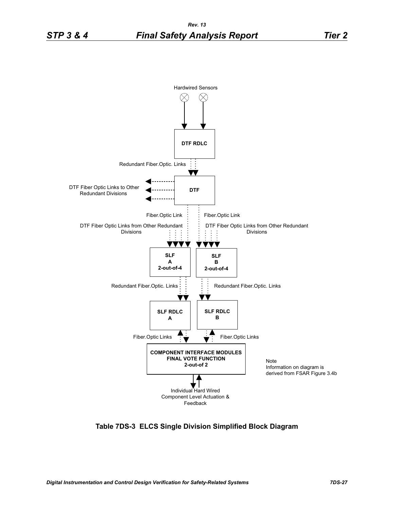

**Table 7DS-3 ELCS Single Division Simplified Block Diagram**